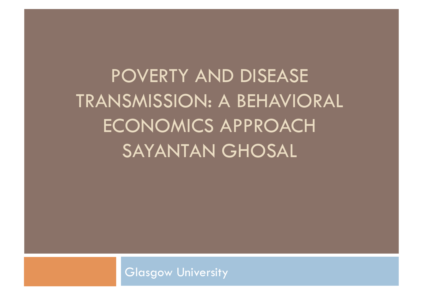POVERTY AND DISEASE TRANSMISSION: A BEHAVIORAL ECONOMICS APPROACH SAYANTAN GHOSAL

Glasgow University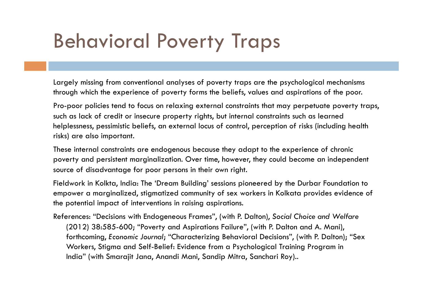## Behavioral Poverty Traps

Largely missing from conventional analyses of poverty traps are the psychological mechanisms through which the experience of poverty forms the beliefs, values and aspirations of the poor.

Pro-poor policies tend to focus on relaxing external constraints that may perpetuate poverty traps, such as lack of credit or insecure property rights, but internal constraints such as learned helplessness, pessimistic beliefs, an external locus of control, perception of risks (including health risks) are also important.

These internal constraints are endogenous because they adapt to the experience of chronic poverty and persistent marginalization. Over time, however, they could become an independent source of disadvantage for poor persons in their own right.

Fieldwork in Kolkta, India: The 'Dream Building' sessions pioneered by the Durbar Foundation to empower a marginalized, stigmatized community of sex workers in Kolkata provides evidence of the potential impact of interventions in raising aspirations.

References: "Decisions with Endogeneous Frames", (with P. Dalton), *Social Choice and Welfare* (2012) 38:585-600; "Poverty and Aspirations Failure", (with P. Dalton and A. Mani), forthcoming, *Economic Journal*; "Characterizing Behavioral Decisions", (with P. Dalton); "Sex Workers, Stigma and Self-Belief: Evidence from a Psychological Training Program in India" (with Smarajit Jana, Anandi Mani, Sandip Mitra, Sanchari Roy)..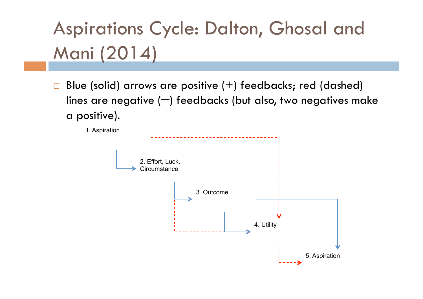# Aspirations Cycle: Dalton, Ghosal and Mani (2014)

Blue (solid) arrows are positive  $(+)$  feedbacks; red (dashed) lines are negative  $(-)$  feedbacks (but also, two negatives make a positive).

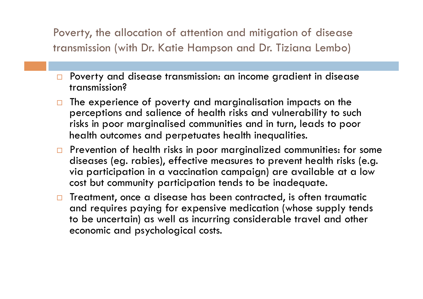Poverty, the allocation of attention and mitigation of disease transmission (with Dr. Katie Hampson and Dr. Tiziana Lembo)

- □ Poverty and disease transmission: an income gradient in disease transmission?
- The experience of poverty and marginalisation impacts on the perceptions and salience of health risks and vulnerability to such risks in poor marginalised communities and in turn, leads to poor health outcomes and perpetuates health inequalities.
- $\Box$  Prevention of health risks in poor marginalized communities: for some diseases (eg. rabies), effective measures to prevent health risks (e.g. via participation in a vaccination campaign) are available at a low cost but community participation tends to be inadequate.
- $\Box$  Treatment, once a disease has been contracted, is often traumatic and requires paying for expensive medication (whose supply tends to be uncertain) as well as incurring considerable travel and other economic and psychological costs.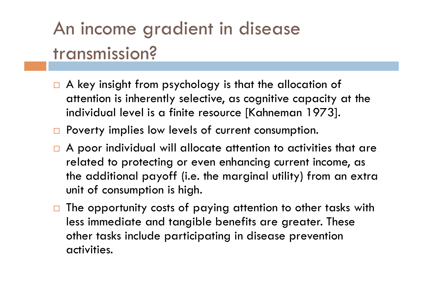### An income gradient in disease transmission?

- $\Box$  A key insight from psychology is that the allocation of attention is inherently selective, as cognitive capacity at the individual level is a finite resource [Kahneman 1973].
- $\Box$  Poverty implies low levels of current consumption.
- $\Box$  A poor individual will allocate attention to activities that are related to protecting or even enhancing current income, as the additional payoff (i.e. the marginal utility) from an extra unit of consumption is high.
- $\Box$  The opportunity costs of paying attention to other tasks with less immediate and tangible benefits are greater. These other tasks include participating in disease prevention activities.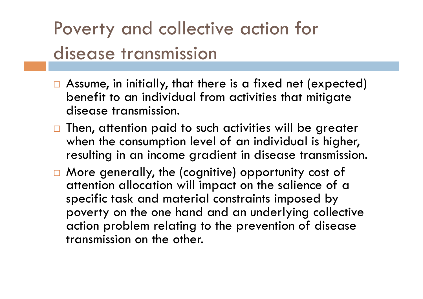### Poverty and collective action for disease transmission

- $\Box$  Assume, in initially, that there is a fixed net (expected) benefit to an individual from activities that mitigate disease transmission.
- $\Box$  Then, attention paid to such activities will be greater when the consumption level of an individual is higher, resulting in an income gradient in disease transmission.
- □ More generally, the (cognitive) opportunity cost of attention allocation will impact on the salience of a specific task and material constraints imposed by poverty on the one hand and an underlying collective action problem relating to the prevention of disease transmission on the other.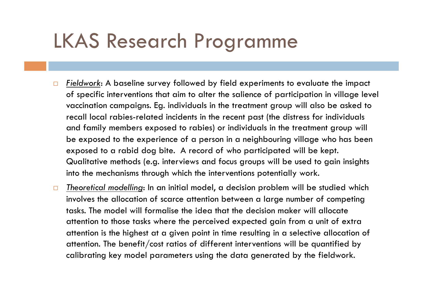#### LKAS Research Programme

- *Fieldwork*: A baseline survey followed by field experiments to evaluate the impact of specific interventions that aim to alter the salience of participation in village level vaccination campaigns. Eg. individuals in the treatment group will also be asked to recall local rabies-related incidents in the recent past (the distress for individuals and family members exposed to rabies) or individuals in the treatment group will be exposed to the experience of a person in a neighbouring village who has been exposed to a rabid dog bite. A record of who participated will be kept. Qualitative methods (e.g. interviews and focus groups will be used to gain insights into the mechanisms through which the interventions potentially work.
- *Theoretical modelling*: In an initial model, a decision problem will be studied which involves the allocation of scarce attention between a large number of competing tasks. The model will formalise the idea that the decision maker will allocate attention to those tasks where the perceived expected gain from a unit of extra attention is the highest at a given point in time resulting in a selective allocation of attention. The benefit/cost ratios of different interventions will be quantified by calibrating key model parameters using the data generated by the fieldwork.